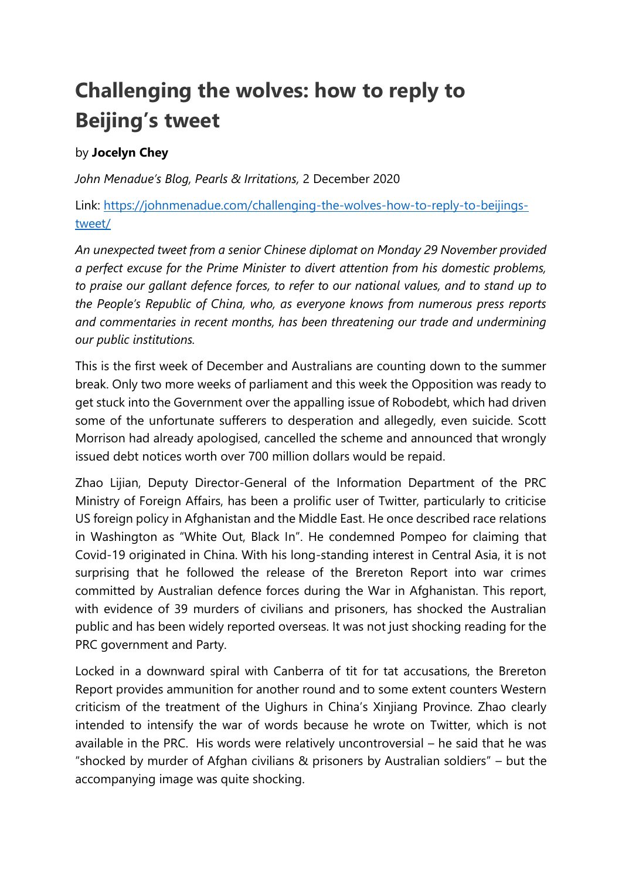## **Challenging the wolves: how to reply to Beijing's tweet**

## by **Jocelyn Chey**

*John Menadue's Blog, Pearls & Irritations,* 2 December 2020

Link: [https://johnmenadue.com/challenging-the-wolves-how-to-reply-to-beijings](https://johnmenadue.com/challenging-the-wolves-how-to-reply-to-beijings-tweet/)[tweet/](https://johnmenadue.com/challenging-the-wolves-how-to-reply-to-beijings-tweet/)

*An unexpected tweet from a senior Chinese diplomat on Monday 29 November provided a perfect excuse for the Prime Minister to divert attention from his domestic problems, to praise our gallant defence forces, to refer to our national values, and to stand up to the People's Republic of China, who, as everyone knows from numerous press reports and commentaries in recent months, has been threatening our trade and undermining our public institutions.*

This is the first week of December and Australians are counting down to the summer break. Only two more weeks of parliament and this week the Opposition was ready to get stuck into the Government over the appalling issue of Robodebt, which had driven some of the unfortunate sufferers to desperation and allegedly, even suicide. Scott Morrison had already apologised, cancelled the scheme and announced that wrongly issued debt notices worth over 700 million dollars would be repaid.

Zhao Lijian, Deputy Director-General of the Information Department of the PRC Ministry of Foreign Affairs, has been a prolific user of Twitter, particularly to criticise US foreign policy in Afghanistan and the Middle East. He once described race relations in Washington as "White Out, Black In". He condemned Pompeo for claiming that Covid-19 originated in China. With his long-standing interest in Central Asia, it is not surprising that he followed the release of the Brereton Report into war crimes committed by Australian defence forces during the War in Afghanistan. This report, with evidence of 39 murders of civilians and prisoners, has shocked the Australian public and has been widely reported overseas. It was not just shocking reading for the PRC government and Party.

Locked in a downward spiral with Canberra of tit for tat accusations, the Brereton Report provides ammunition for another round and to some extent counters Western criticism of the treatment of the Uighurs in China's Xinjiang Province. Zhao clearly intended to intensify the war of words because he wrote on Twitter, which is not available in the PRC. His words were relatively uncontroversial – he said that he was "shocked by murder of Afghan civilians & prisoners by Australian soldiers" – but the accompanying image was quite shocking.